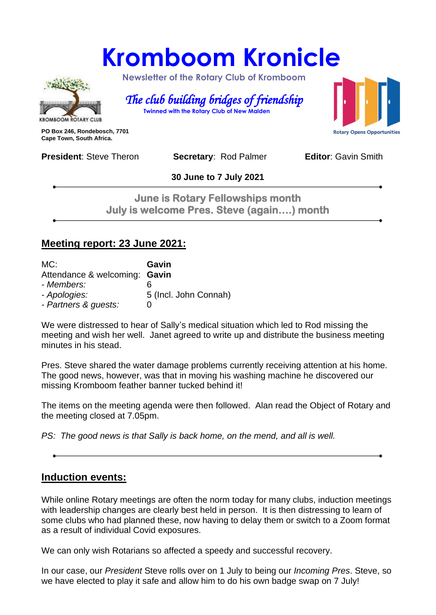# **Kromboom Kronicle**



 **Newsletter of the Rotary Club of Kromboom** 

 *The club building bridges of friendship*   **Twinned with the Rotary Club of New Malden**

**PO Box 246, Rondebosch, 7701 Cape Town, South Africa.**

**Rotary Opens Opportunities** 

**President:** Steve Theron **Secretary: Rod Palmer <b>Editor**: Gavin Smith

**30 June to 7 July 2021**

**June is Rotary Fellowships month July is welcome Pres. Steve (again….) month** 

#### **Meeting report: 23 June 2021:**

| MC:                           | Gavin                 |
|-------------------------------|-----------------------|
| Attendance & welcoming: Gavin |                       |
| - Members:                    | ჩ                     |
| - Apologies:                  | 5 (Incl. John Connah) |
| - Partners & guests:          | ი                     |

We were distressed to hear of Sally's medical situation which led to Rod missing the meeting and wish her well. Janet agreed to write up and distribute the business meeting minutes in his stead.

Pres. Steve shared the water damage problems currently receiving attention at his home. The good news, however, was that in moving his washing machine he discovered our missing Kromboom feather banner tucked behind it!

The items on the meeting agenda were then followed. Alan read the Object of Rotary and the meeting closed at 7.05pm.

*PS: The good news is that Sally is back home, on the mend, and all is well.*

## **Induction events:**

While online Rotary meetings are often the norm today for many clubs, induction meetings with leadership changes are clearly best held in person. It is then distressing to learn of some clubs who had planned these, now having to delay them or switch to a Zoom format as a result of individual Covid exposures.

We can only wish Rotarians so affected a speedy and successful recovery.

In our case, our *President* Steve rolls over on 1 July to being our *Incoming Pres*. Steve, so we have elected to play it safe and allow him to do his own badge swap on 7 July!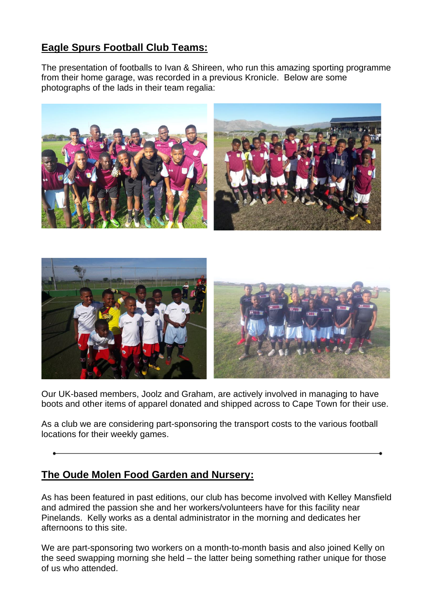## **Eagle Spurs Football Club Teams:**

The presentation of footballs to Ivan & Shireen, who run this amazing sporting programme from their home garage, was recorded in a previous Kronicle. Below are some photographs of the lads in their team regalia:





Our UK-based members, Joolz and Graham, are actively involved in managing to have boots and other items of apparel donated and shipped across to Cape Town for their use.

As a club we are considering part-sponsoring the transport costs to the various football locations for their weekly games.

#### **The Oude Molen Food Garden and Nursery:**

As has been featured in past editions, our club has become involved with Kelley Mansfield and admired the passion she and her workers/volunteers have for this facility near Pinelands. Kelly works as a dental administrator in the morning and dedicates her afternoons to this site.

We are part-sponsoring two workers on a month-to-month basis and also joined Kelly on the seed swapping morning she held – the latter being something rather unique for those of us who attended.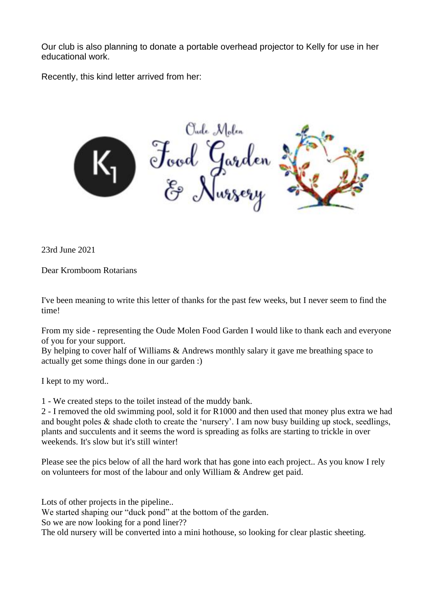Our club is also planning to donate a portable overhead projector to Kelly for use in her educational work.

Recently, this kind letter arrived from her:



23rd June 2021

Dear Kromboom Rotarians

I've been meaning to write this letter of thanks for the past few weeks, but I never seem to find the time!

From my side - representing the Oude Molen Food Garden I would like to thank each and everyone of you for your support.

By helping to cover half of Williams & Andrews monthly salary it gave me breathing space to actually get some things done in our garden :)

I kept to my word..

1 - We created steps to the toilet instead of the muddy bank.

2 - I removed the old swimming pool, sold it for R1000 and then used that money plus extra we had and bought poles & shade cloth to create the 'nursery'. I am now busy building up stock, seedlings, plants and succulents and it seems the word is spreading as folks are starting to trickle in over weekends. It's slow but it's still winter!

Please see the pics below of all the hard work that has gone into each project.. As you know I rely on volunteers for most of the labour and only William & Andrew get paid.

Lots of other projects in the pipeline..

We started shaping our "duck pond" at the bottom of the garden.

So we are now looking for a pond liner??

The old nursery will be converted into a mini hothouse, so looking for clear plastic sheeting.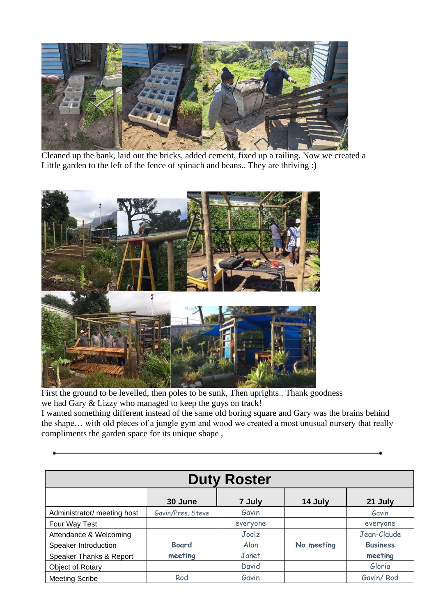

Cleaned up the bank, laid out the bricks, added cement, fixed up a railing. Now we created a Little garden to the left of the fence of spinach and beans.. They are thriving :)



First the ground to be levelled, then poles to be sunk, Then uprights.. Thank goodness we had Gary & Lizzy who managed to keep the guys on track!

I wanted something different instead of the same old boring square and Gary was the brains behind the shape… with old pieces of a jungle gym and wood we created a most unusual nursery that really compliments the garden space for its unique shape ,

| <b>Duty Roster</b>          |                   |          |            |                 |
|-----------------------------|-------------------|----------|------------|-----------------|
|                             | 30 June           | 7 July   | 14 July    | 21 July         |
| Administrator/ meeting host | Gavin/Pres, Steve | Gavin    |            | Gavin           |
| Four Way Test               |                   | everyone |            | everyone        |
| Attendance & Welcoming      |                   | Joolz    |            | Jean-Claude     |
| Speaker Introduction        | <b>Board</b>      | Alan     | No meeting | <b>Business</b> |
| Speaker Thanks & Report     | meeting           | Janet    |            | meeting         |
| Object of Rotary            |                   | David    |            | Gloria          |
| <b>Meeting Scribe</b>       | Rod               | Gavin    |            | Gavin/Rod       |